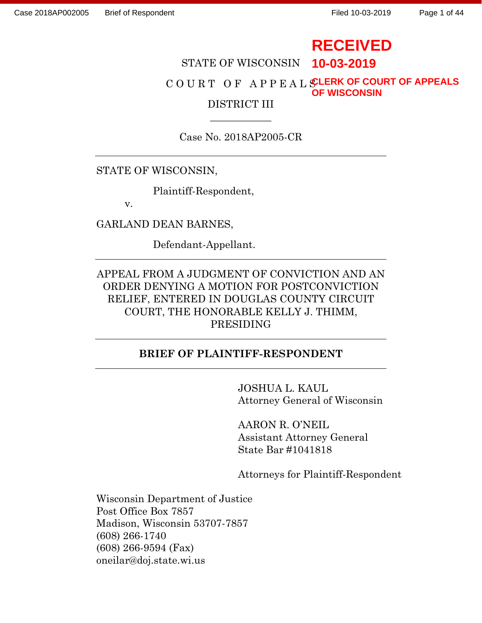# **RECEIVED**

STATE OF WISCONSIN **10-03-2019**

C O U R T O F A P P E A L S **CLERK OF COURT OF APPEALS** DISTRICT III **OF WISCONSIN**

Case No. 2018AP2005-CR

 $\overline{\phantom{a}}$ 

### STATE OF WISCONSIN,

Plaintiff-Respondent,

v.

GARLAND DEAN BARNES,

Defendant-Appellant.

# APPEAL FROM A JUDGMENT OF CONVICTION AND AN ORDER DENYING A MOTION FOR POSTCONVICTION RELIEF, ENTERED IN DOUGLAS COUNTY CIRCUIT COURT, THE HONORABLE KELLY J. THIMM, PRESIDING

### **BRIEF OF PLAINTIFF-RESPONDENT**

JOSHUA L. KAUL Attorney General of Wisconsin

AARON R. O'NEIL Assistant Attorney General State Bar #1041818

Attorneys for Plaintiff-Respondent

Wisconsin Department of Justice Post Office Box 7857 Madison, Wisconsin 53707-7857 (608) 266-1740 (608) 266-9594 (Fax) oneilar@doj.state.wi.us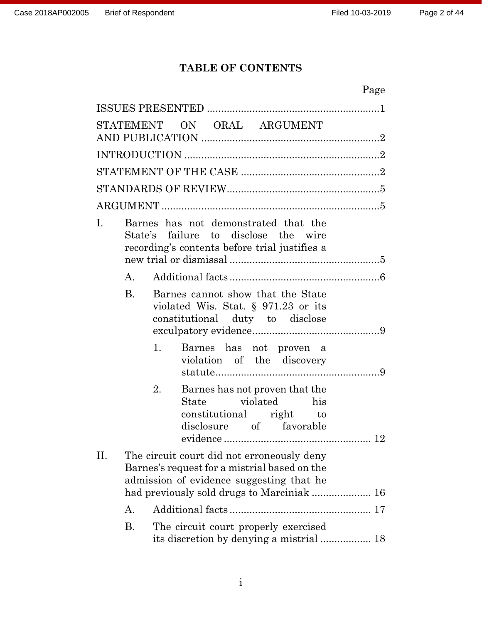# **TABLE OF CONTENTS**

|                |                                                                                                                                                                                      | Page |
|----------------|--------------------------------------------------------------------------------------------------------------------------------------------------------------------------------------|------|
|                |                                                                                                                                                                                      |      |
|                | STATEMENT ON ORAL ARGUMENT                                                                                                                                                           |      |
|                |                                                                                                                                                                                      |      |
|                |                                                                                                                                                                                      |      |
|                |                                                                                                                                                                                      |      |
|                |                                                                                                                                                                                      |      |
| $\mathbf{I}$ . | Barnes has not demonstrated that the<br>State's failure to disclose the wire<br>recording's contents before trial justifies a                                                        |      |
| A.             |                                                                                                                                                                                      |      |
| <b>B.</b>      | Barnes cannot show that the State<br>violated Wis. Stat. $\S$ 971.23 or its<br>constitutional duty to disclose                                                                       |      |
|                | 1.<br>Barnes has not proven a<br>violation of the discovery                                                                                                                          |      |
|                | 2.<br>Barnes has not proven that the<br>State violated his<br>constitutional right to<br>disclosure of favorable                                                                     |      |
| Π.             | The circuit court did not erroneously deny<br>Barnes's request for a mistrial based on the<br>admission of evidence suggesting that he<br>had previously sold drugs to Marciniak  16 |      |
| А.             |                                                                                                                                                                                      |      |
| Β.             | The circuit court properly exercised<br>its discretion by denying a mistrial  18                                                                                                     |      |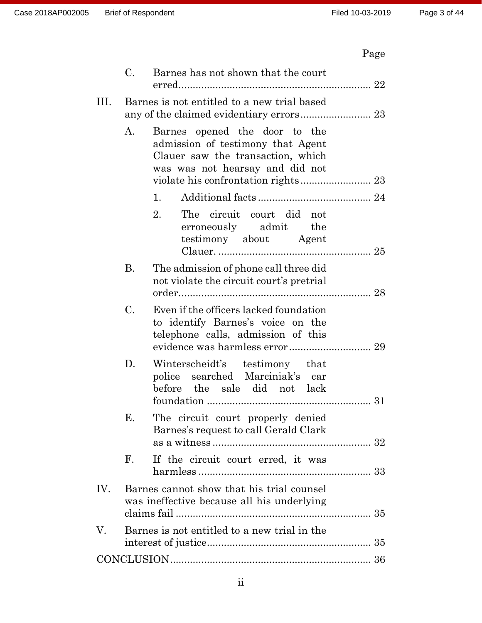# Page

|      | C.                   | Barnes has not shown that the court                                                                                                        |  |
|------|----------------------|--------------------------------------------------------------------------------------------------------------------------------------------|--|
| III. |                      | Barnes is not entitled to a new trial based                                                                                                |  |
|      | A.                   | Barnes opened the door to the<br>admission of testimony that Agent<br>Clauer saw the transaction, which<br>was was not hearsay and did not |  |
|      |                      | 1.                                                                                                                                         |  |
|      |                      | 2.<br>The circuit court did not<br>erroneously admit the<br>testimony about Agent                                                          |  |
|      | <b>B.</b>            | The admission of phone call three did<br>not violate the circuit court's pretrial                                                          |  |
|      | $C_{\cdot}$          | Even if the officers lacked foundation<br>to identify Barnes's voice on the<br>telephone calls, admission of this                          |  |
|      | D.                   | Winterscheidt's testimony that<br>police searched Marciniak's car<br>before the sale did not lack                                          |  |
|      | Е.                   | The circuit court properly denied<br>Barnes's request to call Gerald Clark                                                                 |  |
|      | $\mathbf{F}_{\cdot}$ | If the circuit court erred, it was                                                                                                         |  |
| IV.  |                      | Barnes cannot show that his trial counsel<br>was ineffective because all his underlying                                                    |  |
| V.   |                      | Barnes is not entitled to a new trial in the                                                                                               |  |
|      |                      |                                                                                                                                            |  |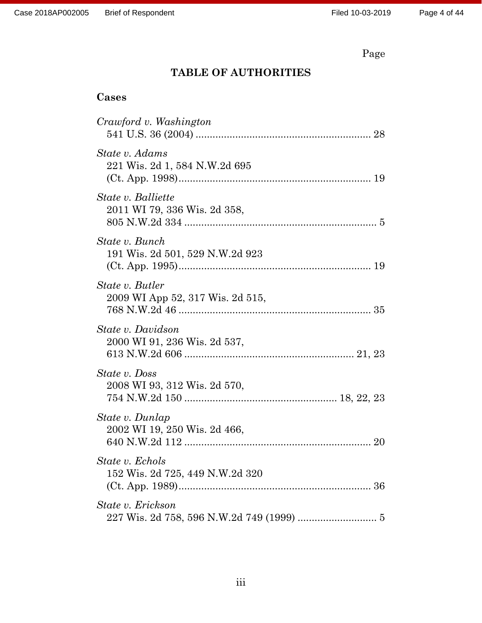# Page

# **TABLE OF AUTHORITIES**

# **Cases**

| Crawford v. Washington                                    |
|-----------------------------------------------------------|
| State v. Adams<br>221 Wis. 2d 1, 584 N.W.2d 695           |
| <i>State v. Balliette</i><br>2011 WI 79, 336 Wis. 2d 358, |
| State v. Bunch<br>191 Wis. 2d 501, 529 N.W.2d 923         |
| State v. Butler<br>2009 WI App 52, 317 Wis. 2d 515,       |
| State v. Davidson<br>2000 WI 91, 236 Wis. 2d 537,         |
| State v. Doss<br>2008 WI 93, 312 Wis. 2d 570,             |
| State v. Dunlap<br>2002 WI 19, 250 Wis. 2d 466,           |
| State v. Echols<br>152 Wis. 2d 725, 449 N.W.2d 320        |
| State v. Erickson                                         |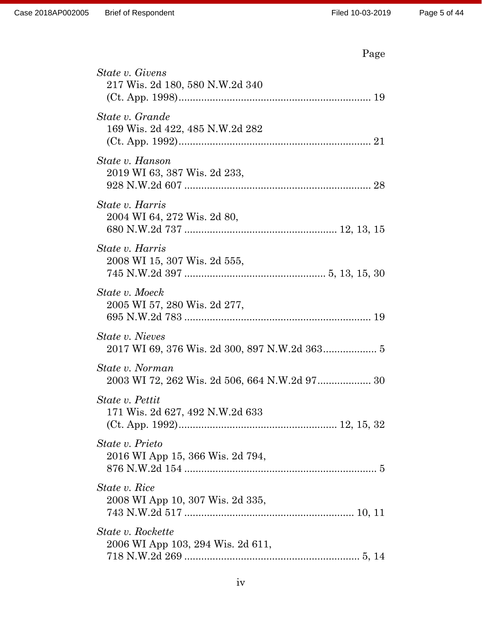|--|

| <i>State v. Givens</i><br>217 Wis. 2d 180, 580 N.W.2d 340               |
|-------------------------------------------------------------------------|
| State v. Grande<br>169 Wis. 2d 422, 485 N.W.2d 282                      |
| State v. Hanson<br>2019 WI 63, 387 Wis. 2d 233,                         |
| State v. Harris<br>2004 WI 64, 272 Wis. 2d 80,                          |
| <i>State v. Harris</i><br>2008 WI 15, 307 Wis. 2d 555,                  |
| State v. Moeck<br>2005 WI 57, 280 Wis. 2d 277,                          |
| <i>State v. Nieves</i>                                                  |
| <i>State v. Norman</i><br>2003 WI 72, 262 Wis. 2d 506, 664 N.W.2d 97 30 |
| State v. Pettit<br>171 Wis. 2d 627, 492 N.W.2d 633                      |
| <i>State v. Prieto</i><br>2016 WI App 15, 366 Wis. 2d 794,              |
| <i>State v. Rice</i><br>2008 WI App 10, 307 Wis. 2d 335,                |
| <i>State v. Rockette</i><br>2006 WI App 103, 294 Wis. 2d 611,           |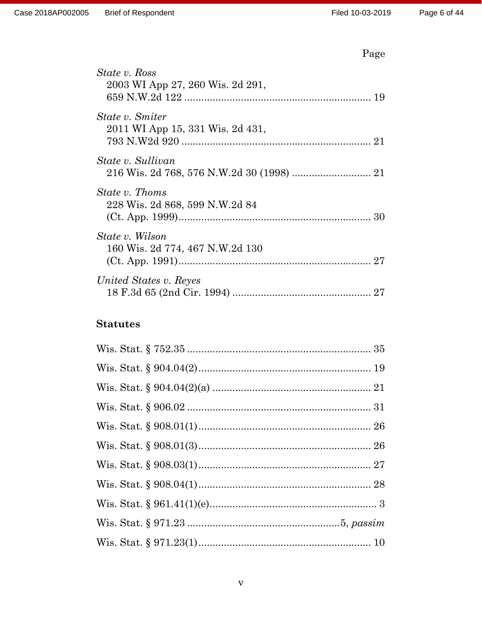|--|

| State v. Ross<br>2003 WI App 27, 260 Wis. 2d 291,          |
|------------------------------------------------------------|
| <i>State v. Smiter</i><br>2011 WI App 15, 331 Wis. 2d 431, |
| State v. Sullivan                                          |
| State v. Thoms<br>228 Wis. 2d 868, 599 N.W.2d 84           |
| State v. Wilson<br>160 Wis. 2d 774, 467 N.W.2d 130         |
| United States v. Reyes                                     |

# **Statutes**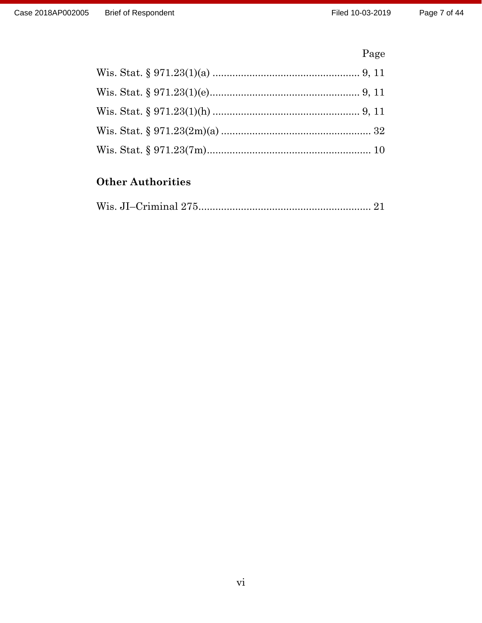# Page

# **Other Authorities**

|--|--|--|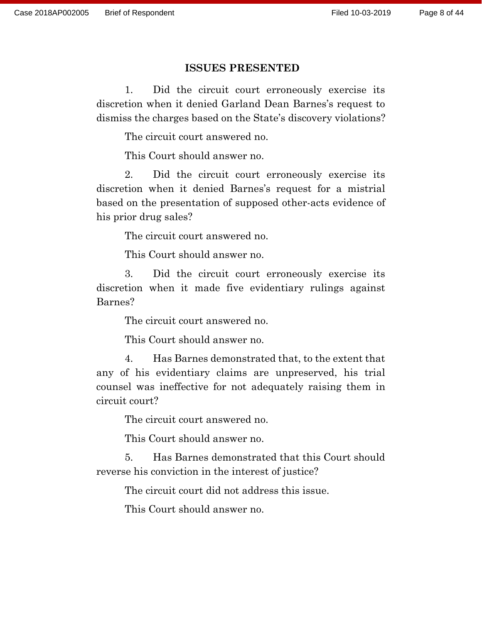#### **ISSUES PRESENTED**

1. Did the circuit court erroneously exercise its discretion when it denied Garland Dean Barnes's request to dismiss the charges based on the State's discovery violations?

The circuit court answered no.

This Court should answer no.

2. Did the circuit court erroneously exercise its discretion when it denied Barnes's request for a mistrial based on the presentation of supposed other-acts evidence of his prior drug sales?

The circuit court answered no.

This Court should answer no.

3. Did the circuit court erroneously exercise its discretion when it made five evidentiary rulings against Barnes?

The circuit court answered no.

This Court should answer no.

4. Has Barnes demonstrated that, to the extent that any of his evidentiary claims are unpreserved, his trial counsel was ineffective for not adequately raising them in circuit court?

The circuit court answered no.

This Court should answer no.

5. Has Barnes demonstrated that this Court should reverse his conviction in the interest of justice?

The circuit court did not address this issue.

This Court should answer no.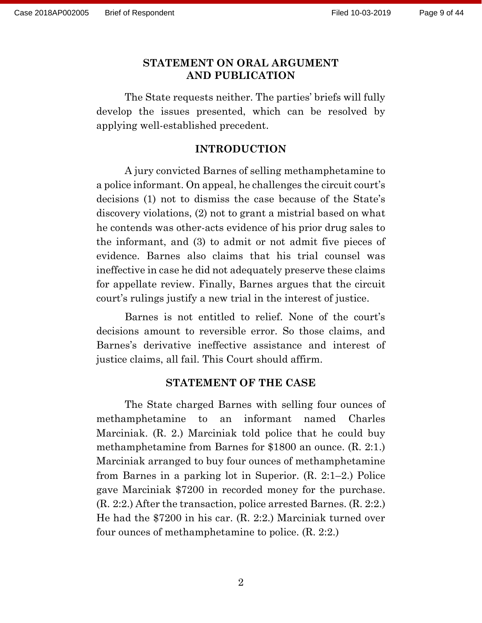#### **STATEMENT ON ORAL ARGUMENT AND PUBLICATION**

The State requests neither. The parties' briefs will fully develop the issues presented, which can be resolved by applying well-established precedent.

#### **INTRODUCTION**

A jury convicted Barnes of selling methamphetamine to a police informant. On appeal, he challenges the circuit court's decisions (1) not to dismiss the case because of the State's discovery violations, (2) not to grant a mistrial based on what he contends was other-acts evidence of his prior drug sales to the informant, and (3) to admit or not admit five pieces of evidence. Barnes also claims that his trial counsel was ineffective in case he did not adequately preserve these claims for appellate review. Finally, Barnes argues that the circuit court's rulings justify a new trial in the interest of justice.

Barnes is not entitled to relief. None of the court's decisions amount to reversible error. So those claims, and Barnes's derivative ineffective assistance and interest of justice claims, all fail. This Court should affirm.

#### **STATEMENT OF THE CASE**

The State charged Barnes with selling four ounces of methamphetamine to an informant named Charles Marciniak. (R. 2.) Marciniak told police that he could buy methamphetamine from Barnes for \$1800 an ounce. (R. 2:1.) Marciniak arranged to buy four ounces of methamphetamine from Barnes in a parking lot in Superior. (R. 2:1–2.) Police gave Marciniak \$7200 in recorded money for the purchase. (R. 2:2.) After the transaction, police arrested Barnes. (R. 2:2.) He had the \$7200 in his car. (R. 2:2.) Marciniak turned over four ounces of methamphetamine to police. (R. 2:2.)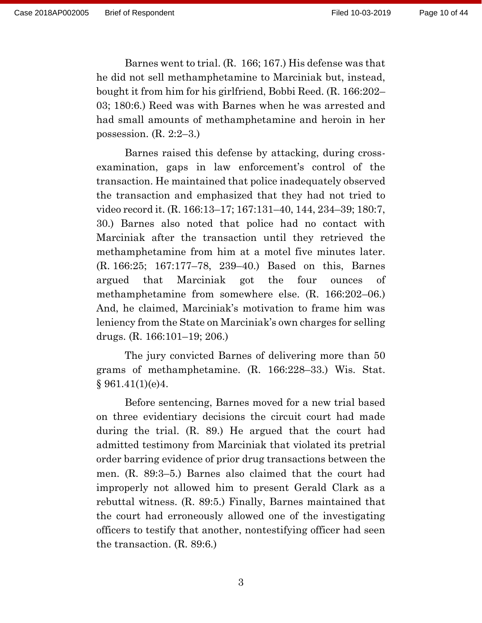Barnes went to trial. (R. 166; 167.) His defense was that he did not sell methamphetamine to Marciniak but, instead, bought it from him for his girlfriend, Bobbi Reed. (R. 166:202– 03; 180:6.) Reed was with Barnes when he was arrested and had small amounts of methamphetamine and heroin in her possession. (R. 2:2–3.)

Barnes raised this defense by attacking, during crossexamination, gaps in law enforcement's control of the transaction. He maintained that police inadequately observed the transaction and emphasized that they had not tried to video record it. (R. 166:13–17; 167:131–40, 144, 234–39; 180:7, 30.) Barnes also noted that police had no contact with Marciniak after the transaction until they retrieved the methamphetamine from him at a motel five minutes later. (R. 166:25; 167:177–78, 239–40.) Based on this, Barnes argued that Marciniak got the four ounces of methamphetamine from somewhere else. (R. 166:202–06.) And, he claimed, Marciniak's motivation to frame him was leniency from the State on Marciniak's own charges for selling drugs. (R. 166:101–19; 206.)

The jury convicted Barnes of delivering more than 50 grams of methamphetamine. (R. 166:228–33.) Wis. Stat.  $§ 961.41(1)(e)4.$ 

Before sentencing, Barnes moved for a new trial based on three evidentiary decisions the circuit court had made during the trial. (R. 89.) He argued that the court had admitted testimony from Marciniak that violated its pretrial order barring evidence of prior drug transactions between the men. (R. 89:3–5.) Barnes also claimed that the court had improperly not allowed him to present Gerald Clark as a rebuttal witness. (R. 89:5.) Finally, Barnes maintained that the court had erroneously allowed one of the investigating officers to testify that another, nontestifying officer had seen the transaction. (R. 89:6.)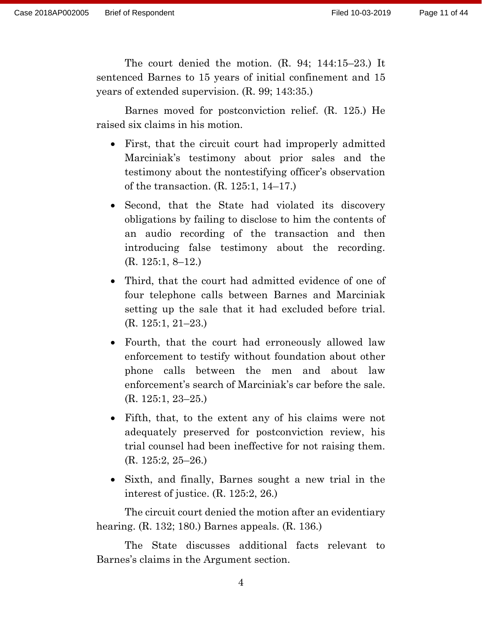The court denied the motion. (R. 94; 144:15–23.) It sentenced Barnes to 15 years of initial confinement and 15 years of extended supervision. (R. 99; 143:35.)

Barnes moved for postconviction relief. (R. 125.) He raised six claims in his motion.

- First, that the circuit court had improperly admitted Marciniak's testimony about prior sales and the testimony about the nontestifying officer's observation of the transaction. (R. 125:1, 14–17.)
- Second, that the State had violated its discovery obligations by failing to disclose to him the contents of an audio recording of the transaction and then introducing false testimony about the recording. (R. 125:1, 8–12.)
- Third, that the court had admitted evidence of one of four telephone calls between Barnes and Marciniak setting up the sale that it had excluded before trial. (R. 125:1, 21–23.)
- Fourth, that the court had erroneously allowed law enforcement to testify without foundation about other phone calls between the men and about law enforcement's search of Marciniak's car before the sale. (R. 125:1, 23–25.)
- Fifth, that, to the extent any of his claims were not adequately preserved for postconviction review, his trial counsel had been ineffective for not raising them. (R. 125:2, 25–26.)
- Sixth, and finally, Barnes sought a new trial in the interest of justice. (R. 125:2, 26.)

The circuit court denied the motion after an evidentiary hearing. (R. 132; 180.) Barnes appeals. (R. 136.)

The State discusses additional facts relevant to Barnes's claims in the Argument section.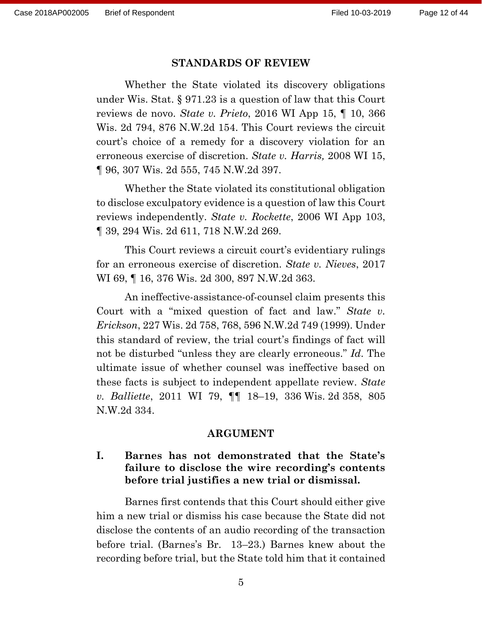#### **STANDARDS OF REVIEW**

Whether the State violated its discovery obligations under Wis. Stat. § 971.23 is a question of law that this Court reviews de novo. *State v. Prieto*, 2016 WI App 15, ¶ 10, 366 Wis. 2d 794, 876 N.W.2d 154. This Court reviews the circuit court's choice of a remedy for a discovery violation for an erroneous exercise of discretion. *State v. Harris,* 2008 WI 15, ¶ 96, 307 Wis. 2d 555, 745 N.W.2d 397.

Whether the State violated its constitutional obligation to disclose exculpatory evidence is a question of law this Court reviews independently. *State v. Rockette*, 2006 WI App 103, ¶ 39, 294 Wis. 2d 611, 718 N.W.2d 269.

This Court reviews a circuit court's evidentiary rulings for an erroneous exercise of discretion. *State v. Nieves*, 2017 WI 69, ¶ 16, 376 Wis. 2d 300, 897 N.W.2d 363.

An ineffective-assistance-of-counsel claim presents this Court with a "mixed question of fact and law." *State v. Erickson*, 227 Wis. 2d 758, 768, 596 N.W.2d 749 (1999). Under this standard of review, the trial court's findings of fact will not be disturbed "unless they are clearly erroneous." *Id*. The ultimate issue of whether counsel was ineffective based on these facts is subject to independent appellate review. *State v. Balliette*, 2011 WI 79, ¶¶ 18–19, 336 Wis. 2d 358, 805 N.W.2d 334.

#### **ARGUMENT**

### **I. Barnes has not demonstrated that the State's failure to disclose the wire recording's contents before trial justifies a new trial or dismissal.**

Barnes first contends that this Court should either give him a new trial or dismiss his case because the State did not disclose the contents of an audio recording of the transaction before trial. (Barnes's Br. 13–23.) Barnes knew about the recording before trial, but the State told him that it contained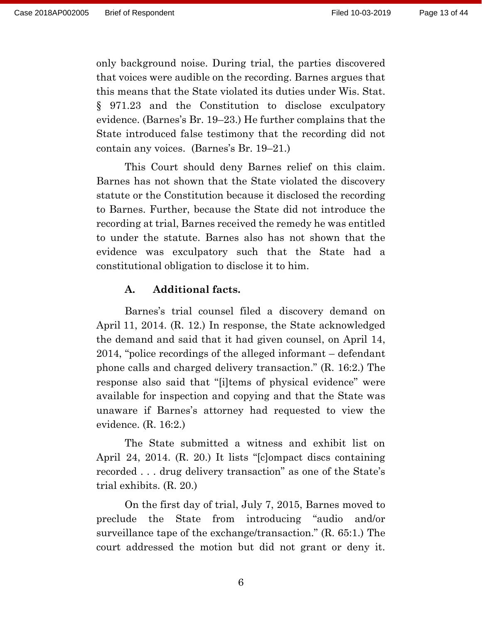only background noise. During trial, the parties discovered that voices were audible on the recording. Barnes argues that this means that the State violated its duties under Wis. Stat. § 971.23 and the Constitution to disclose exculpatory evidence. (Barnes's Br. 19–23.) He further complains that the State introduced false testimony that the recording did not contain any voices. (Barnes's Br. 19–21.)

This Court should deny Barnes relief on this claim. Barnes has not shown that the State violated the discovery statute or the Constitution because it disclosed the recording to Barnes. Further, because the State did not introduce the recording at trial, Barnes received the remedy he was entitled to under the statute. Barnes also has not shown that the evidence was exculpatory such that the State had a constitutional obligation to disclose it to him.

#### **A. Additional facts.**

Barnes's trial counsel filed a discovery demand on April 11, 2014. (R. 12.) In response, the State acknowledged the demand and said that it had given counsel, on April 14, 2014, "police recordings of the alleged informant – defendant phone calls and charged delivery transaction." (R. 16:2.) The response also said that "[i]tems of physical evidence" were available for inspection and copying and that the State was unaware if Barnes's attorney had requested to view the evidence. (R. 16:2.)

The State submitted a witness and exhibit list on April 24, 2014. (R. 20.) It lists "[c]ompact discs containing recorded . . . drug delivery transaction" as one of the State's trial exhibits. (R. 20.)

On the first day of trial, July 7, 2015, Barnes moved to preclude the State from introducing "audio and/or surveillance tape of the exchange/transaction." (R. 65:1.) The court addressed the motion but did not grant or deny it.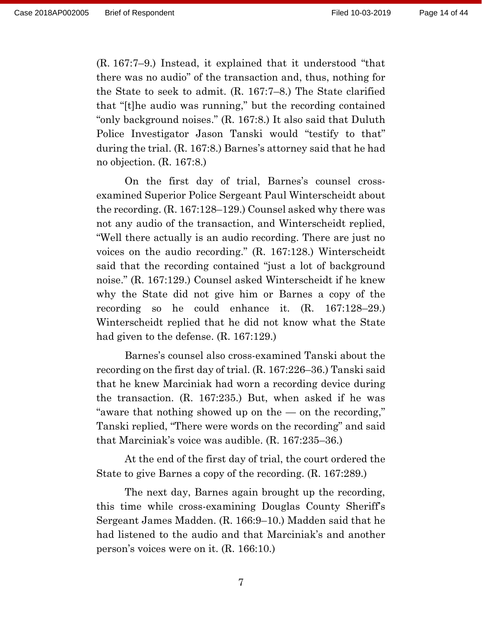(R. 167:7–9.) Instead, it explained that it understood "that there was no audio" of the transaction and, thus, nothing for the State to seek to admit. (R. 167:7–8.) The State clarified that "[t]he audio was running," but the recording contained "only background noises." (R. 167:8.) It also said that Duluth Police Investigator Jason Tanski would "testify to that" during the trial. (R. 167:8.) Barnes's attorney said that he had no objection. (R. 167:8.)

On the first day of trial, Barnes's counsel crossexamined Superior Police Sergeant Paul Winterscheidt about the recording. (R. 167:128–129.) Counsel asked why there was not any audio of the transaction, and Winterscheidt replied, "Well there actually is an audio recording. There are just no voices on the audio recording." (R. 167:128.) Winterscheidt said that the recording contained "just a lot of background noise." (R. 167:129.) Counsel asked Winterscheidt if he knew why the State did not give him or Barnes a copy of the recording so he could enhance it. (R. 167:128–29.) Winterscheidt replied that he did not know what the State had given to the defense. (R. 167:129.)

Barnes's counsel also cross-examined Tanski about the recording on the first day of trial. (R. 167:226–36.) Tanski said that he knew Marciniak had worn a recording device during the transaction. (R. 167:235.) But, when asked if he was "aware that nothing showed up on the — on the recording," Tanski replied, "There were words on the recording" and said that Marciniak's voice was audible. (R. 167:235–36.)

At the end of the first day of trial, the court ordered the State to give Barnes a copy of the recording. (R. 167:289.)

The next day, Barnes again brought up the recording, this time while cross-examining Douglas County Sheriff's Sergeant James Madden. (R. 166:9–10.) Madden said that he had listened to the audio and that Marciniak's and another person's voices were on it. (R. 166:10.)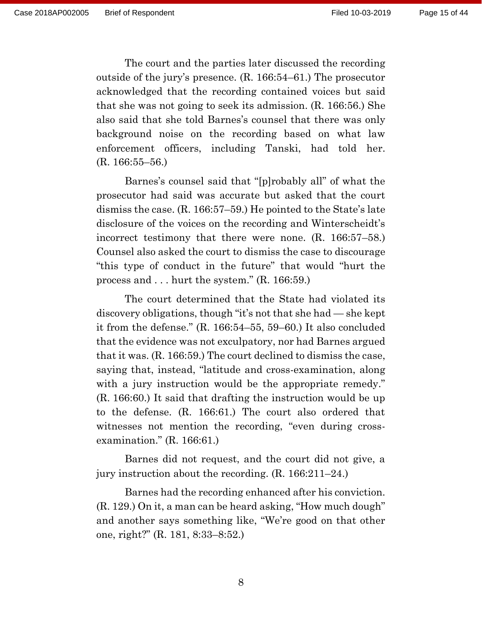The court and the parties later discussed the recording outside of the jury's presence. (R. 166:54–61.) The prosecutor acknowledged that the recording contained voices but said that she was not going to seek its admission. (R. 166:56.) She also said that she told Barnes's counsel that there was only background noise on the recording based on what law enforcement officers, including Tanski, had told her. (R. 166:55–56.)

Barnes's counsel said that "[p]robably all" of what the prosecutor had said was accurate but asked that the court dismiss the case. (R. 166:57–59.) He pointed to the State's late disclosure of the voices on the recording and Winterscheidt's incorrect testimony that there were none. (R. 166:57–58.) Counsel also asked the court to dismiss the case to discourage "this type of conduct in the future" that would "hurt the process and . . . hurt the system." (R. 166:59.)

The court determined that the State had violated its discovery obligations, though "it's not that she had — she kept it from the defense." (R. 166:54–55, 59–60.) It also concluded that the evidence was not exculpatory, nor had Barnes argued that it was. (R. 166:59.) The court declined to dismiss the case, saying that, instead, "latitude and cross-examination, along with a jury instruction would be the appropriate remedy." (R. 166:60.) It said that drafting the instruction would be up to the defense. (R. 166:61.) The court also ordered that witnesses not mention the recording, "even during crossexamination." (R. 166:61.)

Barnes did not request, and the court did not give, a jury instruction about the recording. (R. 166:211–24.)

Barnes had the recording enhanced after his conviction. (R. 129.) On it, a man can be heard asking, "How much dough" and another says something like, "We're good on that other one, right?" (R. 181, 8:33–8:52.)

8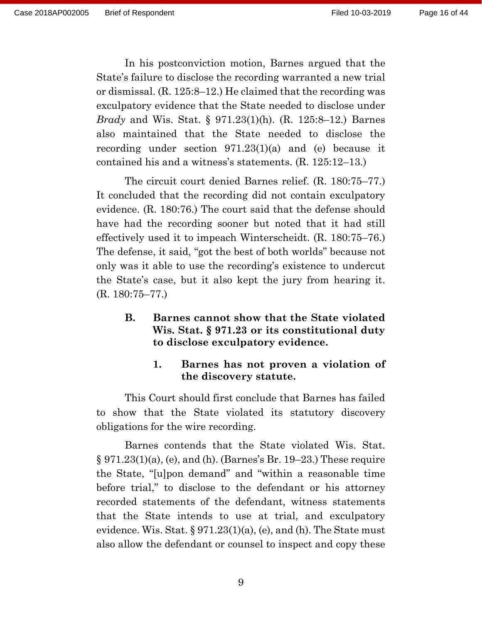In his postconviction motion, Barnes argued that the State's failure to disclose the recording warranted a new trial or dismissal. (R. 125:8–12.) He claimed that the recording was exculpatory evidence that the State needed to disclose under *Brady* and Wis. Stat. § 971.23(1)(h). (R. 125:8–12.) Barnes also maintained that the State needed to disclose the recording under section 971.23(1)(a) and (e) because it contained his and a witness's statements. (R. 125:12–13.)

The circuit court denied Barnes relief. (R. 180:75–77.) It concluded that the recording did not contain exculpatory evidence. (R. 180:76.) The court said that the defense should have had the recording sooner but noted that it had still effectively used it to impeach Winterscheidt. (R. 180:75–76.) The defense, it said, "got the best of both worlds" because not only was it able to use the recording's existence to undercut the State's case, but it also kept the jury from hearing it. (R. 180:75–77.)

**B. Barnes cannot show that the State violated Wis. Stat. § 971.23 or its constitutional duty to disclose exculpatory evidence.**

### **1. Barnes has not proven a violation of the discovery statute.**

This Court should first conclude that Barnes has failed to show that the State violated its statutory discovery obligations for the wire recording.

Barnes contends that the State violated Wis. Stat.  $\S 971.23(1)(a)$ , (e), and (h). (Barnes's Br. 19–23.) These require the State, "[u]pon demand" and "within a reasonable time before trial," to disclose to the defendant or his attorney recorded statements of the defendant, witness statements that the State intends to use at trial, and exculpatory evidence. Wis. Stat.  $\S 971.23(1)(a)$ , (e), and (h). The State must also allow the defendant or counsel to inspect and copy these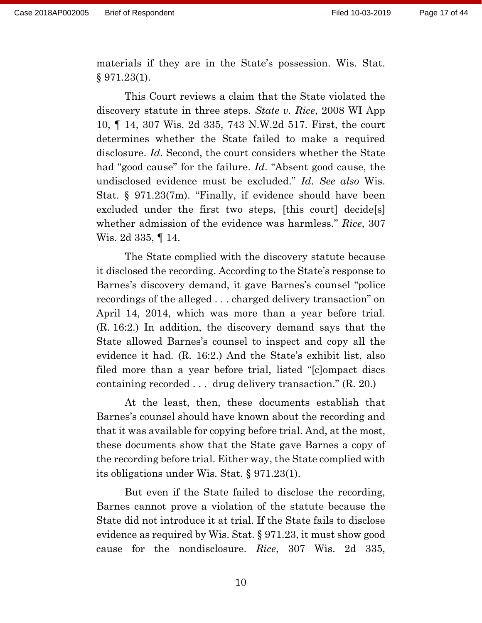materials if they are in the State's possession. Wis. Stat. § 971.23(1).

This Court reviews a claim that the State violated the discovery statute in three steps. *State v. Rice*, 2008 WI App 10, ¶ 14, 307 Wis. 2d 335, 743 N.W.2d 517. First, the court determines whether the State failed to make a required disclosure. *Id*. Second, the court considers whether the State had "good cause" for the failure. *Id*. "Absent good cause, the undisclosed evidence must be excluded." *Id*. *See also* Wis. Stat. § 971.23(7m). "Finally, if evidence should have been excluded under the first two steps, [this court] decide[s] whether admission of the evidence was harmless." *Rice*, 307 Wis. 2d 335, ¶ 14.

The State complied with the discovery statute because it disclosed the recording. According to the State's response to Barnes's discovery demand, it gave Barnes's counsel "police recordings of the alleged . . . charged delivery transaction" on April 14, 2014, which was more than a year before trial. (R. 16:2.) In addition, the discovery demand says that the State allowed Barnes's counsel to inspect and copy all the evidence it had. (R. 16:2.) And the State's exhibit list, also filed more than a year before trial, listed "[c]ompact discs containing recorded . . . drug delivery transaction." (R. 20.)

At the least, then, these documents establish that Barnes's counsel should have known about the recording and that it was available for copying before trial. And, at the most, these documents show that the State gave Barnes a copy of the recording before trial. Either way, the State complied with its obligations under Wis. Stat. § 971.23(1).

But even if the State failed to disclose the recording, Barnes cannot prove a violation of the statute because the State did not introduce it at trial. If the State fails to disclose evidence as required by Wis. Stat. § 971.23, it must show good cause for the nondisclosure. *Rice*, 307 Wis. 2d 335,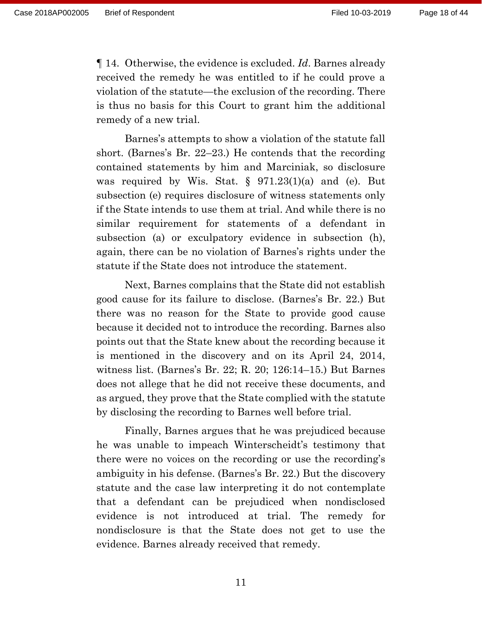¶ 14. Otherwise, the evidence is excluded. *Id*. Barnes already received the remedy he was entitled to if he could prove a violation of the statute—the exclusion of the recording. There is thus no basis for this Court to grant him the additional remedy of a new trial.

Barnes's attempts to show a violation of the statute fall short. (Barnes's Br. 22–23.) He contends that the recording contained statements by him and Marciniak, so disclosure was required by Wis. Stat.  $\S$  971.23(1)(a) and (e). But subsection (e) requires disclosure of witness statements only if the State intends to use them at trial. And while there is no similar requirement for statements of a defendant in subsection (a) or exculpatory evidence in subsection (h), again, there can be no violation of Barnes's rights under the statute if the State does not introduce the statement.

Next, Barnes complains that the State did not establish good cause for its failure to disclose. (Barnes's Br. 22.) But there was no reason for the State to provide good cause because it decided not to introduce the recording. Barnes also points out that the State knew about the recording because it is mentioned in the discovery and on its April 24, 2014, witness list. (Barnes's Br. 22; R. 20; 126:14–15.) But Barnes does not allege that he did not receive these documents, and as argued, they prove that the State complied with the statute by disclosing the recording to Barnes well before trial.

Finally, Barnes argues that he was prejudiced because he was unable to impeach Winterscheidt's testimony that there were no voices on the recording or use the recording's ambiguity in his defense. (Barnes's Br. 22.) But the discovery statute and the case law interpreting it do not contemplate that a defendant can be prejudiced when nondisclosed evidence is not introduced at trial. The remedy for nondisclosure is that the State does not get to use the evidence. Barnes already received that remedy.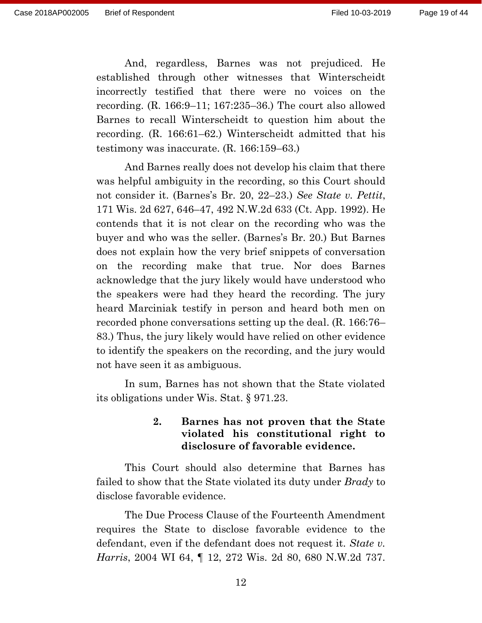And, regardless, Barnes was not prejudiced. He established through other witnesses that Winterscheidt incorrectly testified that there were no voices on the recording. (R. 166:9–11; 167:235–36.) The court also allowed Barnes to recall Winterscheidt to question him about the recording. (R. 166:61–62.) Winterscheidt admitted that his testimony was inaccurate. (R. 166:159–63.)

And Barnes really does not develop his claim that there was helpful ambiguity in the recording, so this Court should not consider it. (Barnes's Br. 20, 22–23.) *See State v. Pettit*, 171 Wis. 2d 627, 646–47, 492 N.W.2d 633 (Ct. App. 1992). He contends that it is not clear on the recording who was the buyer and who was the seller. (Barnes's Br. 20.) But Barnes does not explain how the very brief snippets of conversation on the recording make that true. Nor does Barnes acknowledge that the jury likely would have understood who the speakers were had they heard the recording. The jury heard Marciniak testify in person and heard both men on recorded phone conversations setting up the deal. (R. 166:76– 83.) Thus, the jury likely would have relied on other evidence to identify the speakers on the recording, and the jury would not have seen it as ambiguous.

In sum, Barnes has not shown that the State violated its obligations under Wis. Stat. § 971.23.

### **2. Barnes has not proven that the State violated his constitutional right to disclosure of favorable evidence.**

This Court should also determine that Barnes has failed to show that the State violated its duty under *Brady* to disclose favorable evidence.

The Due Process Clause of the Fourteenth Amendment requires the State to disclose favorable evidence to the defendant, even if the defendant does not request it. *State v. Harris*, 2004 WI 64, ¶ 12, 272 Wis. 2d 80, 680 N.W.2d 737.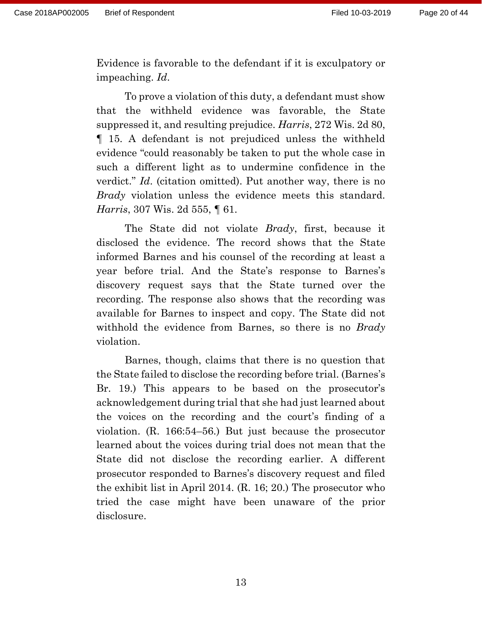Evidence is favorable to the defendant if it is exculpatory or impeaching. *Id*.

To prove a violation of this duty, a defendant must show that the withheld evidence was favorable, the State suppressed it, and resulting prejudice. *Harris*, 272 Wis. 2d 80, ¶ 15. A defendant is not prejudiced unless the withheld evidence "could reasonably be taken to put the whole case in such a different light as to undermine confidence in the verdict." *Id*. (citation omitted). Put another way, there is no *Brady* violation unless the evidence meets this standard. *Harris*, 307 Wis. 2d 555, ¶ 61.

The State did not violate *Brady*, first, because it disclosed the evidence. The record shows that the State informed Barnes and his counsel of the recording at least a year before trial. And the State's response to Barnes's discovery request says that the State turned over the recording. The response also shows that the recording was available for Barnes to inspect and copy. The State did not withhold the evidence from Barnes, so there is no *Brady* violation.

Barnes, though, claims that there is no question that the State failed to disclose the recording before trial. (Barnes's Br. 19.) This appears to be based on the prosecutor's acknowledgement during trial that she had just learned about the voices on the recording and the court's finding of a violation. (R. 166:54–56.) But just because the prosecutor learned about the voices during trial does not mean that the State did not disclose the recording earlier. A different prosecutor responded to Barnes's discovery request and filed the exhibit list in April 2014. (R. 16; 20.) The prosecutor who tried the case might have been unaware of the prior disclosure.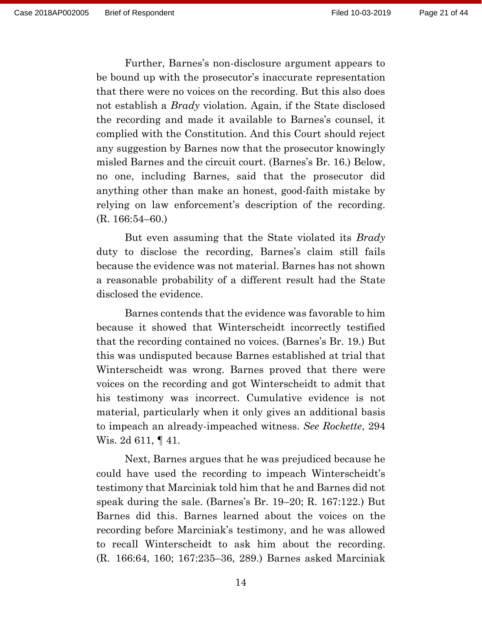Further, Barnes's non-disclosure argument appears to be bound up with the prosecutor's inaccurate representation that there were no voices on the recording. But this also does not establish a *Brady* violation. Again, if the State disclosed the recording and made it available to Barnes's counsel, it complied with the Constitution. And this Court should reject any suggestion by Barnes now that the prosecutor knowingly misled Barnes and the circuit court. (Barnes's Br. 16.) Below, no one, including Barnes, said that the prosecutor did anything other than make an honest, good-faith mistake by relying on law enforcement's description of the recording. (R. 166:54–60.)

But even assuming that the State violated its *Brady* duty to disclose the recording, Barnes's claim still fails because the evidence was not material. Barnes has not shown a reasonable probability of a different result had the State disclosed the evidence.

Barnes contends that the evidence was favorable to him because it showed that Winterscheidt incorrectly testified that the recording contained no voices. (Barnes's Br. 19.) But this was undisputed because Barnes established at trial that Winterscheidt was wrong. Barnes proved that there were voices on the recording and got Winterscheidt to admit that his testimony was incorrect. Cumulative evidence is not material, particularly when it only gives an additional basis to impeach an already-impeached witness. *See Rockette*, 294 Wis. 2d 611, ¶ 41.

Next, Barnes argues that he was prejudiced because he could have used the recording to impeach Winterscheidt's testimony that Marciniak told him that he and Barnes did not speak during the sale. (Barnes's Br. 19–20; R. 167:122.) But Barnes did this. Barnes learned about the voices on the recording before Marciniak's testimony, and he was allowed to recall Winterscheidt to ask him about the recording. (R. 166:64, 160; 167:235–36, 289.) Barnes asked Marciniak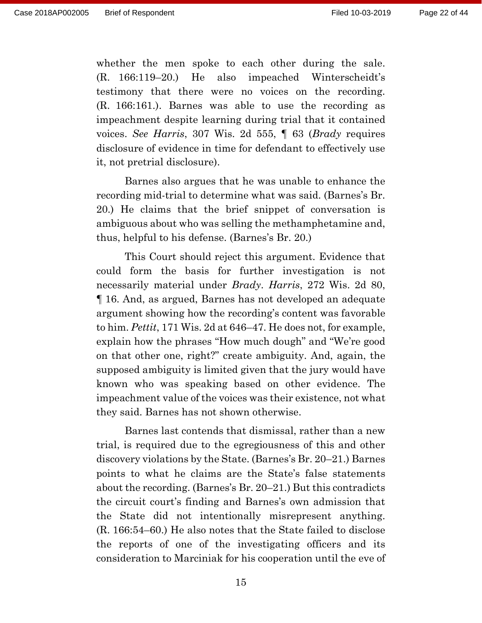whether the men spoke to each other during the sale. (R. 166:119–20.) He also impeached Winterscheidt's testimony that there were no voices on the recording. (R. 166:161.). Barnes was able to use the recording as impeachment despite learning during trial that it contained voices. *See Harris*, 307 Wis. 2d 555, ¶ 63 (*Brady* requires disclosure of evidence in time for defendant to effectively use it, not pretrial disclosure).

Barnes also argues that he was unable to enhance the recording mid-trial to determine what was said. (Barnes's Br. 20.) He claims that the brief snippet of conversation is ambiguous about who was selling the methamphetamine and, thus, helpful to his defense. (Barnes's Br. 20.)

This Court should reject this argument. Evidence that could form the basis for further investigation is not necessarily material under *Brady*. *Harris*, 272 Wis. 2d 80, ¶ 16. And, as argued, Barnes has not developed an adequate argument showing how the recording's content was favorable to him. *Pettit*, 171 Wis. 2d at 646–47. He does not, for example, explain how the phrases "How much dough" and "We're good on that other one, right?" create ambiguity. And, again, the supposed ambiguity is limited given that the jury would have known who was speaking based on other evidence. The impeachment value of the voices was their existence, not what they said. Barnes has not shown otherwise.

Barnes last contends that dismissal, rather than a new trial, is required due to the egregiousness of this and other discovery violations by the State. (Barnes's Br. 20–21.) Barnes points to what he claims are the State's false statements about the recording. (Barnes's Br. 20–21.) But this contradicts the circuit court's finding and Barnes's own admission that the State did not intentionally misrepresent anything. (R. 166:54–60.) He also notes that the State failed to disclose the reports of one of the investigating officers and its consideration to Marciniak for his cooperation until the eve of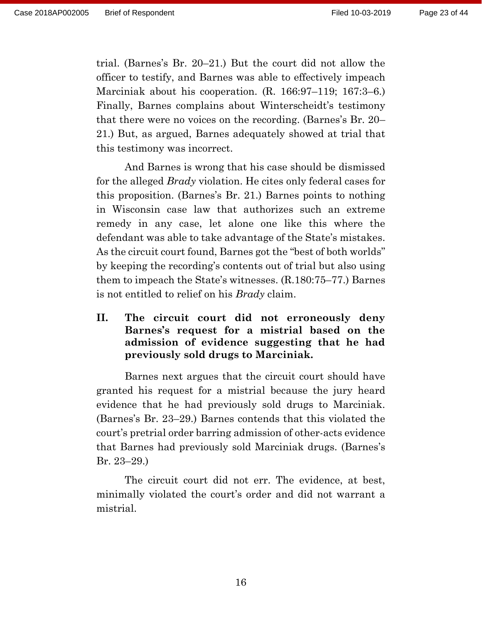trial. (Barnes's Br. 20–21.) But the court did not allow the officer to testify, and Barnes was able to effectively impeach Marciniak about his cooperation. (R. 166:97–119; 167:3–6.) Finally, Barnes complains about Winterscheidt's testimony that there were no voices on the recording. (Barnes's Br. 20– 21.) But, as argued, Barnes adequately showed at trial that this testimony was incorrect.

And Barnes is wrong that his case should be dismissed for the alleged *Brady* violation. He cites only federal cases for this proposition. (Barnes's Br. 21.) Barnes points to nothing in Wisconsin case law that authorizes such an extreme remedy in any case, let alone one like this where the defendant was able to take advantage of the State's mistakes. As the circuit court found, Barnes got the "best of both worlds" by keeping the recording's contents out of trial but also using them to impeach the State's witnesses. (R.180:75–77.) Barnes is not entitled to relief on his *Brady* claim.

**II. The circuit court did not erroneously deny Barnes's request for a mistrial based on the admission of evidence suggesting that he had previously sold drugs to Marciniak.**

Barnes next argues that the circuit court should have granted his request for a mistrial because the jury heard evidence that he had previously sold drugs to Marciniak. (Barnes's Br. 23–29.) Barnes contends that this violated the court's pretrial order barring admission of other-acts evidence that Barnes had previously sold Marciniak drugs. (Barnes's Br. 23–29.)

The circuit court did not err. The evidence, at best, minimally violated the court's order and did not warrant a mistrial.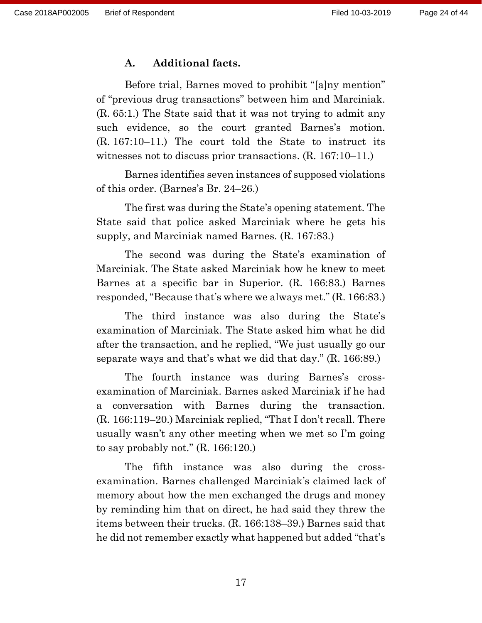Page 24 of 44

#### **A. Additional facts.**

Before trial, Barnes moved to prohibit "[a]ny mention" of "previous drug transactions" between him and Marciniak. (R. 65:1.) The State said that it was not trying to admit any such evidence, so the court granted Barnes's motion. (R. 167:10–11.) The court told the State to instruct its witnesses not to discuss prior transactions. (R. 167:10–11.)

Barnes identifies seven instances of supposed violations of this order. (Barnes's Br. 24–26.)

The first was during the State's opening statement. The State said that police asked Marciniak where he gets his supply, and Marciniak named Barnes. (R. 167:83.)

The second was during the State's examination of Marciniak. The State asked Marciniak how he knew to meet Barnes at a specific bar in Superior. (R. 166:83.) Barnes responded, "Because that's where we always met." (R. 166:83.)

The third instance was also during the State's examination of Marciniak. The State asked him what he did after the transaction, and he replied, "We just usually go our separate ways and that's what we did that day." (R. 166:89.)

The fourth instance was during Barnes's crossexamination of Marciniak. Barnes asked Marciniak if he had a conversation with Barnes during the transaction. (R. 166:119–20.) Marciniak replied, "That I don't recall. There usually wasn't any other meeting when we met so I'm going to say probably not." (R. 166:120.)

The fifth instance was also during the crossexamination. Barnes challenged Marciniak's claimed lack of memory about how the men exchanged the drugs and money by reminding him that on direct, he had said they threw the items between their trucks. (R. 166:138–39.) Barnes said that he did not remember exactly what happened but added "that's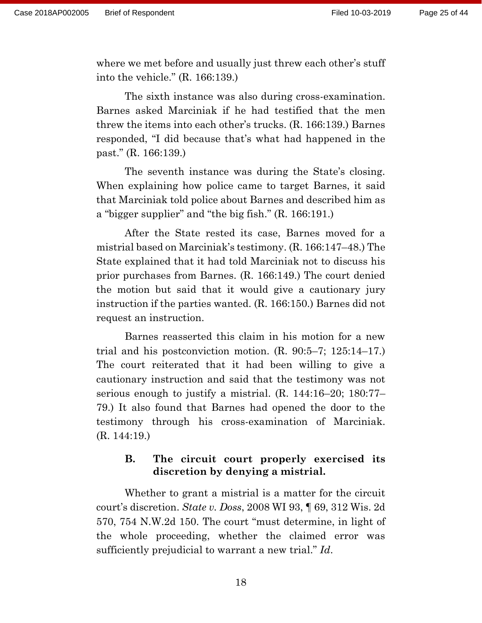where we met before and usually just threw each other's stuff into the vehicle." (R. 166:139.)

The sixth instance was also during cross-examination. Barnes asked Marciniak if he had testified that the men threw the items into each other's trucks. (R. 166:139.) Barnes responded, "I did because that's what had happened in the past." (R. 166:139.)

The seventh instance was during the State's closing. When explaining how police came to target Barnes, it said that Marciniak told police about Barnes and described him as a "bigger supplier" and "the big fish." (R. 166:191.)

After the State rested its case, Barnes moved for a mistrial based on Marciniak's testimony. (R. 166:147–48.) The State explained that it had told Marciniak not to discuss his prior purchases from Barnes. (R. 166:149.) The court denied the motion but said that it would give a cautionary jury instruction if the parties wanted. (R. 166:150.) Barnes did not request an instruction.

Barnes reasserted this claim in his motion for a new trial and his postconviction motion. (R. 90:5–7; 125:14–17.) The court reiterated that it had been willing to give a cautionary instruction and said that the testimony was not serious enough to justify a mistrial. (R. 144:16–20; 180:77– 79.) It also found that Barnes had opened the door to the testimony through his cross-examination of Marciniak. (R. 144:19.)

### **B. The circuit court properly exercised its discretion by denying a mistrial.**

Whether to grant a mistrial is a matter for the circuit court's discretion. *State v. Doss*, 2008 WI 93, ¶ 69, 312 Wis. 2d 570, 754 N.W.2d 150. The court "must determine, in light of the whole proceeding, whether the claimed error was sufficiently prejudicial to warrant a new trial." *Id*.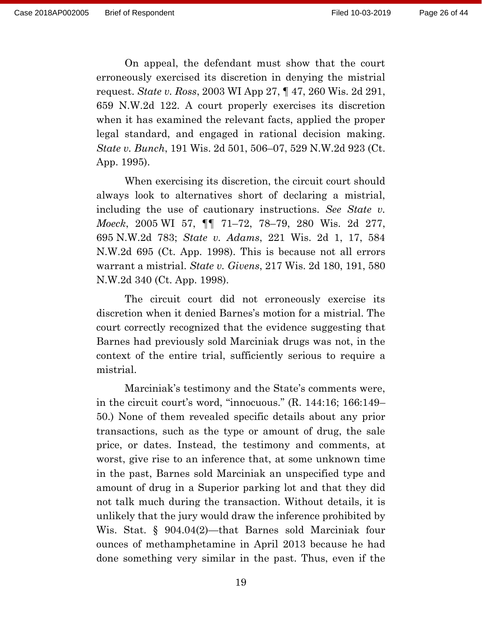On appeal, the defendant must show that the court erroneously exercised its discretion in denying the mistrial request. *State v. Ross*, 2003 WI App 27, ¶ 47, 260 Wis. 2d 291, 659 N.W.2d 122. A court properly exercises its discretion when it has examined the relevant facts, applied the proper legal standard, and engaged in rational decision making. *State v. Bunch*, 191 Wis. 2d 501, 506–07, 529 N.W.2d 923 (Ct. App. 1995).

When exercising its discretion, the circuit court should always look to alternatives short of declaring a mistrial, including the use of cautionary instructions. *See State v. Moeck*, 2005 WI 57, ¶¶ 71–72, 78–79, 280 Wis. 2d 277, 695 N.W.2d 783; *State v. Adams*, 221 Wis. 2d 1, 17, 584 N.W.2d 695 (Ct. App. 1998). This is because not all errors warrant a mistrial. *State v. Givens*, 217 Wis. 2d 180, 191, 580 N.W.2d 340 (Ct. App. 1998).

The circuit court did not erroneously exercise its discretion when it denied Barnes's motion for a mistrial. The court correctly recognized that the evidence suggesting that Barnes had previously sold Marciniak drugs was not, in the context of the entire trial, sufficiently serious to require a mistrial.

Marciniak's testimony and the State's comments were, in the circuit court's word, "innocuous." (R. 144:16; 166:149– 50.) None of them revealed specific details about any prior transactions, such as the type or amount of drug, the sale price, or dates. Instead, the testimony and comments, at worst, give rise to an inference that, at some unknown time in the past, Barnes sold Marciniak an unspecified type and amount of drug in a Superior parking lot and that they did not talk much during the transaction. Without details, it is unlikely that the jury would draw the inference prohibited by Wis. Stat. § 904.04(2)—that Barnes sold Marciniak four ounces of methamphetamine in April 2013 because he had done something very similar in the past. Thus, even if the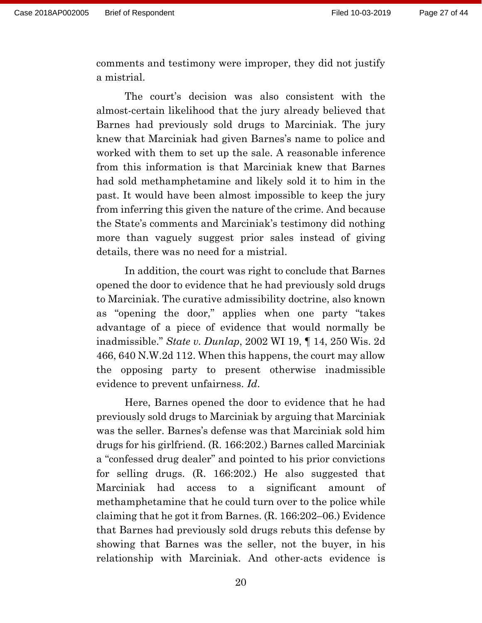comments and testimony were improper, they did not justify a mistrial.

The court's decision was also consistent with the almost-certain likelihood that the jury already believed that Barnes had previously sold drugs to Marciniak. The jury knew that Marciniak had given Barnes's name to police and worked with them to set up the sale. A reasonable inference from this information is that Marciniak knew that Barnes had sold methamphetamine and likely sold it to him in the past. It would have been almost impossible to keep the jury from inferring this given the nature of the crime. And because the State's comments and Marciniak's testimony did nothing more than vaguely suggest prior sales instead of giving details, there was no need for a mistrial.

In addition, the court was right to conclude that Barnes opened the door to evidence that he had previously sold drugs to Marciniak. The curative admissibility doctrine, also known as "opening the door," applies when one party "takes advantage of a piece of evidence that would normally be inadmissible." *State v. Dunlap*, 2002 WI 19, ¶ 14, 250 Wis. 2d 466, 640 N.W.2d 112. When this happens, the court may allow the opposing party to present otherwise inadmissible evidence to prevent unfairness. *Id*.

Here, Barnes opened the door to evidence that he had previously sold drugs to Marciniak by arguing that Marciniak was the seller. Barnes's defense was that Marciniak sold him drugs for his girlfriend. (R. 166:202.) Barnes called Marciniak a "confessed drug dealer" and pointed to his prior convictions for selling drugs. (R. 166:202.) He also suggested that Marciniak had access to a significant amount of methamphetamine that he could turn over to the police while claiming that he got it from Barnes. (R. 166:202–06.) Evidence that Barnes had previously sold drugs rebuts this defense by showing that Barnes was the seller, not the buyer, in his relationship with Marciniak. And other-acts evidence is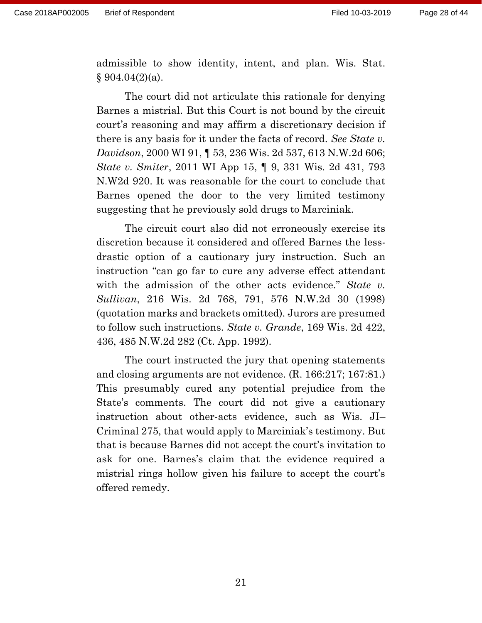admissible to show identity, intent, and plan. Wis. Stat.  $§ 904.04(2)(a).$ 

The court did not articulate this rationale for denying Barnes a mistrial. But this Court is not bound by the circuit court's reasoning and may affirm a discretionary decision if there is any basis for it under the facts of record. *See State v. Davidson*, 2000 WI 91, ¶ 53, 236 Wis. 2d 537, 613 N.W.2d 606; *State v. Smiter*, 2011 WI App 15, ¶ 9, 331 Wis. 2d 431, 793 N.W2d 920. It was reasonable for the court to conclude that Barnes opened the door to the very limited testimony suggesting that he previously sold drugs to Marciniak.

The circuit court also did not erroneously exercise its discretion because it considered and offered Barnes the lessdrastic option of a cautionary jury instruction. Such an instruction "can go far to cure any adverse effect attendant with the admission of the other acts evidence." *State v. Sullivan*, 216 Wis. 2d 768, 791, 576 N.W.2d 30 (1998) (quotation marks and brackets omitted). Jurors are presumed to follow such instructions. *State v. Grande*, 169 Wis. 2d 422, 436, 485 N.W.2d 282 (Ct. App. 1992).

The court instructed the jury that opening statements and closing arguments are not evidence. (R. 166:217; 167:81.) This presumably cured any potential prejudice from the State's comments. The court did not give a cautionary instruction about other-acts evidence, such as Wis. JI– Criminal 275, that would apply to Marciniak's testimony. But that is because Barnes did not accept the court's invitation to ask for one. Barnes's claim that the evidence required a mistrial rings hollow given his failure to accept the court's offered remedy.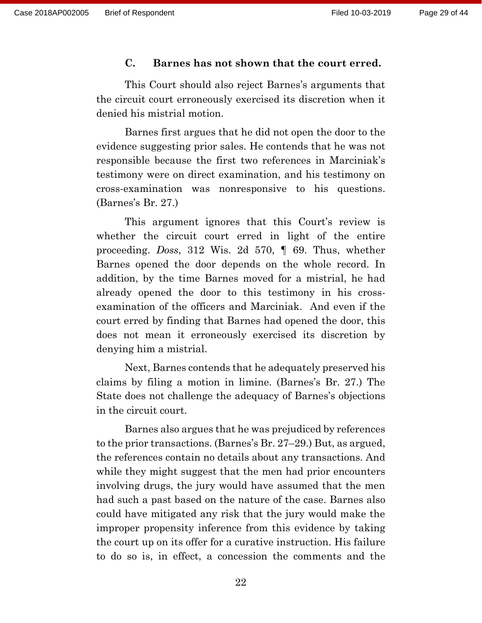#### **C. Barnes has not shown that the court erred.**

This Court should also reject Barnes's arguments that the circuit court erroneously exercised its discretion when it denied his mistrial motion.

Barnes first argues that he did not open the door to the evidence suggesting prior sales. He contends that he was not responsible because the first two references in Marciniak's testimony were on direct examination, and his testimony on cross-examination was nonresponsive to his questions. (Barnes's Br. 27.)

This argument ignores that this Court's review is whether the circuit court erred in light of the entire proceeding. *Doss*, 312 Wis. 2d 570, ¶ 69. Thus, whether Barnes opened the door depends on the whole record. In addition, by the time Barnes moved for a mistrial, he had already opened the door to this testimony in his crossexamination of the officers and Marciniak. And even if the court erred by finding that Barnes had opened the door, this does not mean it erroneously exercised its discretion by denying him a mistrial.

Next, Barnes contends that he adequately preserved his claims by filing a motion in limine. (Barnes's Br. 27.) The State does not challenge the adequacy of Barnes's objections in the circuit court.

Barnes also argues that he was prejudiced by references to the prior transactions. (Barnes's Br. 27–29.) But, as argued, the references contain no details about any transactions. And while they might suggest that the men had prior encounters involving drugs, the jury would have assumed that the men had such a past based on the nature of the case. Barnes also could have mitigated any risk that the jury would make the improper propensity inference from this evidence by taking the court up on its offer for a curative instruction. His failure to do so is, in effect, a concession the comments and the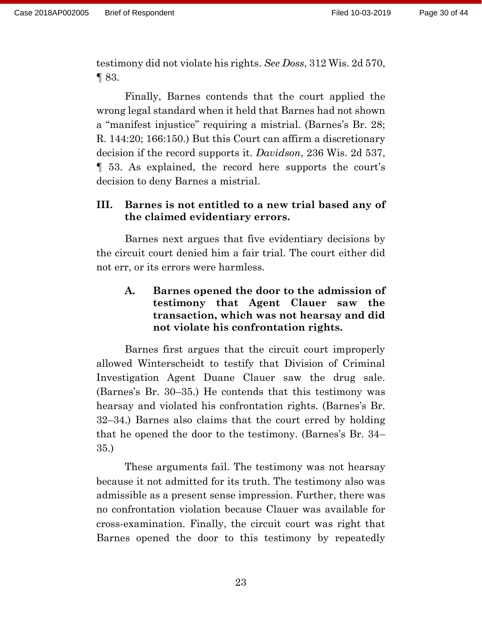testimony did not violate his rights. *See Doss*, 312 Wis. 2d 570, ¶ 83.

Finally, Barnes contends that the court applied the wrong legal standard when it held that Barnes had not shown a "manifest injustice" requiring a mistrial. (Barnes's Br. 28; R. 144:20; 166:150.) But this Court can affirm a discretionary decision if the record supports it. *Davidson*, 236 Wis. 2d 537, ¶ 53. As explained, the record here supports the court's decision to deny Barnes a mistrial.

### **III. Barnes is not entitled to a new trial based any of the claimed evidentiary errors.**

Barnes next argues that five evidentiary decisions by the circuit court denied him a fair trial. The court either did not err, or its errors were harmless.

**A. Barnes opened the door to the admission of testimony that Agent Clauer saw the transaction, which was not hearsay and did not violate his confrontation rights.**

Barnes first argues that the circuit court improperly allowed Winterscheidt to testify that Division of Criminal Investigation Agent Duane Clauer saw the drug sale. (Barnes's Br. 30–35.) He contends that this testimony was hearsay and violated his confrontation rights. (Barnes's Br. 32–34.) Barnes also claims that the court erred by holding that he opened the door to the testimony. (Barnes's Br. 34– 35.)

These arguments fail. The testimony was not hearsay because it not admitted for its truth. The testimony also was admissible as a present sense impression. Further, there was no confrontation violation because Clauer was available for cross-examination. Finally, the circuit court was right that Barnes opened the door to this testimony by repeatedly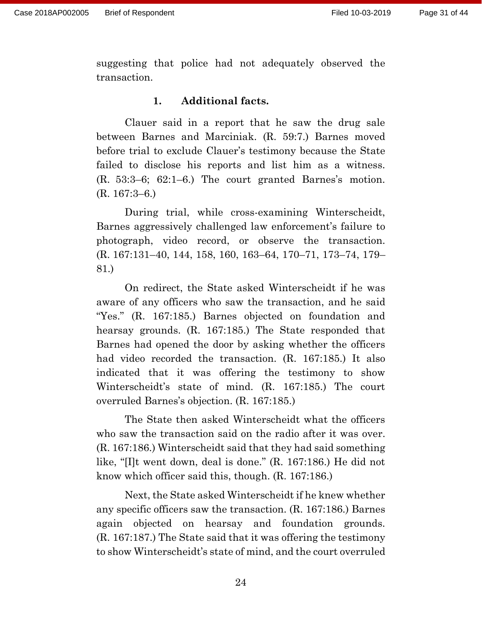suggesting that police had not adequately observed the transaction.

#### **1. Additional facts.**

Clauer said in a report that he saw the drug sale between Barnes and Marciniak. (R. 59:7.) Barnes moved before trial to exclude Clauer's testimony because the State failed to disclose his reports and list him as a witness. (R. 53:3–6; 62:1–6.) The court granted Barnes's motion. (R. 167:3–6.)

During trial, while cross-examining Winterscheidt, Barnes aggressively challenged law enforcement's failure to photograph, video record, or observe the transaction. (R. 167:131–40, 144, 158, 160, 163–64, 170–71, 173–74, 179– 81.)

On redirect, the State asked Winterscheidt if he was aware of any officers who saw the transaction, and he said "Yes." (R. 167:185.) Barnes objected on foundation and hearsay grounds. (R. 167:185.) The State responded that Barnes had opened the door by asking whether the officers had video recorded the transaction. (R. 167:185.) It also indicated that it was offering the testimony to show Winterscheidt's state of mind. (R. 167:185.) The court overruled Barnes's objection. (R. 167:185.)

The State then asked Winterscheidt what the officers who saw the transaction said on the radio after it was over. (R. 167:186.) Winterscheidt said that they had said something like, "[I]t went down, deal is done." (R. 167:186.) He did not know which officer said this, though. (R. 167:186.)

Next, the State asked Winterscheidt if he knew whether any specific officers saw the transaction. (R. 167:186.) Barnes again objected on hearsay and foundation grounds. (R. 167:187.) The State said that it was offering the testimony to show Winterscheidt's state of mind, and the court overruled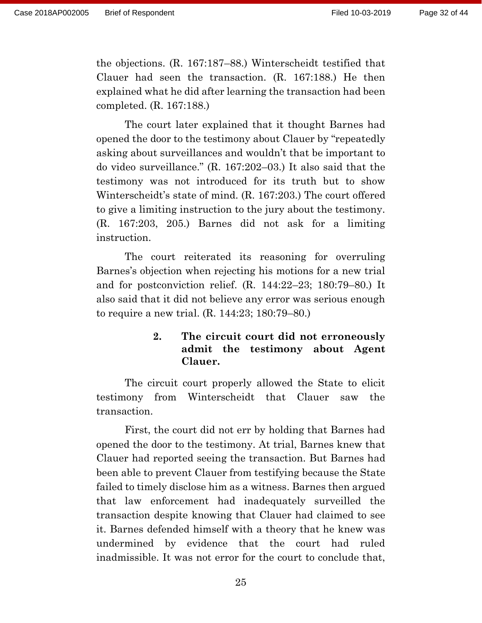the objections. (R. 167:187–88.) Winterscheidt testified that Clauer had seen the transaction. (R. 167:188.) He then explained what he did after learning the transaction had been completed. (R. 167:188.)

The court later explained that it thought Barnes had opened the door to the testimony about Clauer by "repeatedly asking about surveillances and wouldn't that be important to do video surveillance." (R. 167:202–03.) It also said that the testimony was not introduced for its truth but to show Winterscheidt's state of mind. (R. 167:203.) The court offered to give a limiting instruction to the jury about the testimony. (R. 167:203, 205.) Barnes did not ask for a limiting instruction.

The court reiterated its reasoning for overruling Barnes's objection when rejecting his motions for a new trial and for postconviction relief. (R. 144:22–23; 180:79–80.) It also said that it did not believe any error was serious enough to require a new trial. (R. 144:23; 180:79–80.)

## **2. The circuit court did not erroneously admit the testimony about Agent Clauer.**

The circuit court properly allowed the State to elicit testimony from Winterscheidt that Clauer saw the transaction.

First, the court did not err by holding that Barnes had opened the door to the testimony. At trial, Barnes knew that Clauer had reported seeing the transaction. But Barnes had been able to prevent Clauer from testifying because the State failed to timely disclose him as a witness. Barnes then argued that law enforcement had inadequately surveilled the transaction despite knowing that Clauer had claimed to see it. Barnes defended himself with a theory that he knew was undermined by evidence that the court had ruled inadmissible. It was not error for the court to conclude that,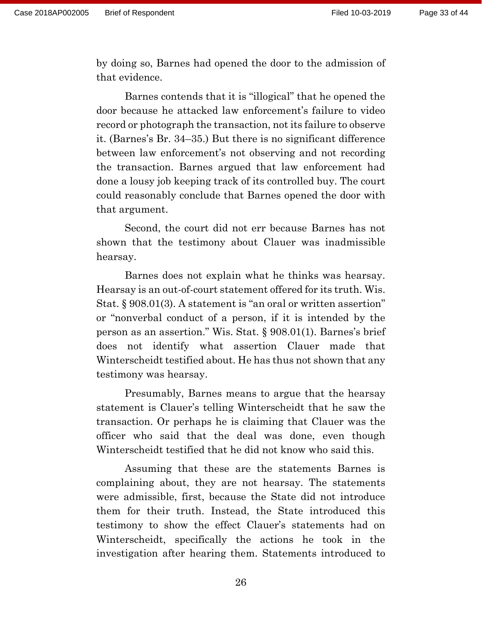by doing so, Barnes had opened the door to the admission of that evidence.

Barnes contends that it is "illogical" that he opened the door because he attacked law enforcement's failure to video record or photograph the transaction, not its failure to observe it. (Barnes's Br. 34–35.) But there is no significant difference between law enforcement's not observing and not recording the transaction. Barnes argued that law enforcement had done a lousy job keeping track of its controlled buy. The court could reasonably conclude that Barnes opened the door with that argument.

Second, the court did not err because Barnes has not shown that the testimony about Clauer was inadmissible hearsay.

Barnes does not explain what he thinks was hearsay. Hearsay is an out-of-court statement offered for its truth. Wis. Stat. § 908.01(3). A statement is "an oral or written assertion" or "nonverbal conduct of a person, if it is intended by the person as an assertion." Wis. Stat. § 908.01(1). Barnes's brief does not identify what assertion Clauer made that Winterscheidt testified about. He has thus not shown that any testimony was hearsay.

Presumably, Barnes means to argue that the hearsay statement is Clauer's telling Winterscheidt that he saw the transaction. Or perhaps he is claiming that Clauer was the officer who said that the deal was done, even though Winterscheidt testified that he did not know who said this.

Assuming that these are the statements Barnes is complaining about, they are not hearsay. The statements were admissible, first, because the State did not introduce them for their truth. Instead, the State introduced this testimony to show the effect Clauer's statements had on Winterscheidt, specifically the actions he took in the investigation after hearing them. Statements introduced to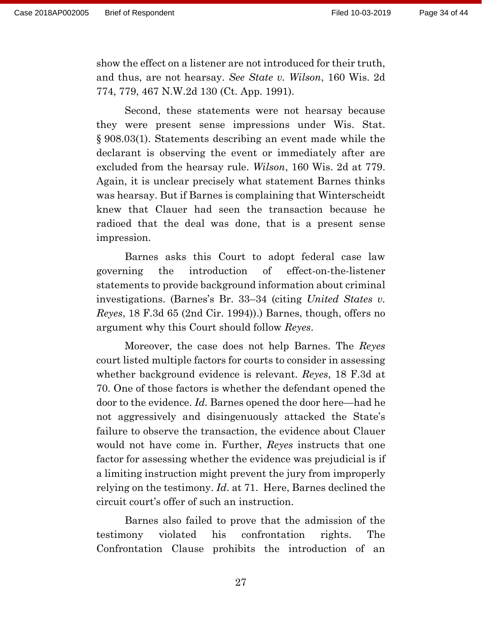show the effect on a listener are not introduced for their truth, and thus, are not hearsay. *See State v. Wilson*, 160 Wis. 2d 774, 779, 467 N.W.2d 130 (Ct. App. 1991).

Second, these statements were not hearsay because they were present sense impressions under Wis. Stat. § 908.03(1). Statements describing an event made while the declarant is observing the event or immediately after are excluded from the hearsay rule. *Wilson*, 160 Wis. 2d at 779. Again, it is unclear precisely what statement Barnes thinks was hearsay. But if Barnes is complaining that Winterscheidt knew that Clauer had seen the transaction because he radioed that the deal was done, that is a present sense impression.

Barnes asks this Court to adopt federal case law governing the introduction of effect-on-the-listener statements to provide background information about criminal investigations. (Barnes's Br. 33–34 (citing *United States v. Reyes*, 18 F.3d 65 (2nd Cir. 1994)).) Barnes, though, offers no argument why this Court should follow *Reyes*.

Moreover, the case does not help Barnes. The *Reyes* court listed multiple factors for courts to consider in assessing whether background evidence is relevant. *Reyes*, 18 F.3d at 70. One of those factors is whether the defendant opened the door to the evidence. *Id.* Barnes opened the door here—had he not aggressively and disingenuously attacked the State's failure to observe the transaction, the evidence about Clauer would not have come in. Further, *Reyes* instructs that one factor for assessing whether the evidence was prejudicial is if a limiting instruction might prevent the jury from improperly relying on the testimony. *Id*. at 71. Here, Barnes declined the circuit court's offer of such an instruction.

Barnes also failed to prove that the admission of the testimony violated his confrontation rights. The Confrontation Clause prohibits the introduction of an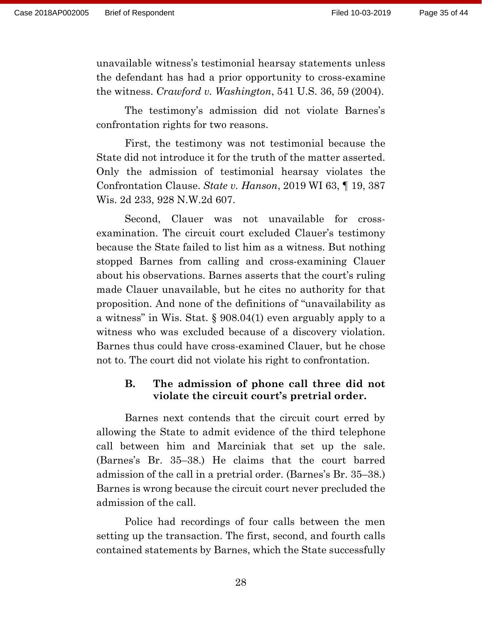unavailable witness's testimonial hearsay statements unless the defendant has had a prior opportunity to cross-examine the witness. *Crawford v. Washington*, 541 U.S. 36, 59 (2004).

The testimony's admission did not violate Barnes's confrontation rights for two reasons.

First, the testimony was not testimonial because the State did not introduce it for the truth of the matter asserted. Only the admission of testimonial hearsay violates the Confrontation Clause. *State v. Hanson*, 2019 WI 63, ¶ 19, 387 Wis. 2d 233, 928 N.W.2d 607.

Second, Clauer was not unavailable for crossexamination. The circuit court excluded Clauer's testimony because the State failed to list him as a witness. But nothing stopped Barnes from calling and cross-examining Clauer about his observations. Barnes asserts that the court's ruling made Clauer unavailable, but he cites no authority for that proposition. And none of the definitions of "unavailability as a witness" in Wis. Stat. § 908.04(1) even arguably apply to a witness who was excluded because of a discovery violation. Barnes thus could have cross-examined Clauer, but he chose not to. The court did not violate his right to confrontation.

### **B. The admission of phone call three did not violate the circuit court's pretrial order.**

Barnes next contends that the circuit court erred by allowing the State to admit evidence of the third telephone call between him and Marciniak that set up the sale. (Barnes's Br. 35–38.) He claims that the court barred admission of the call in a pretrial order. (Barnes's Br. 35–38.) Barnes is wrong because the circuit court never precluded the admission of the call.

Police had recordings of four calls between the men setting up the transaction. The first, second, and fourth calls contained statements by Barnes, which the State successfully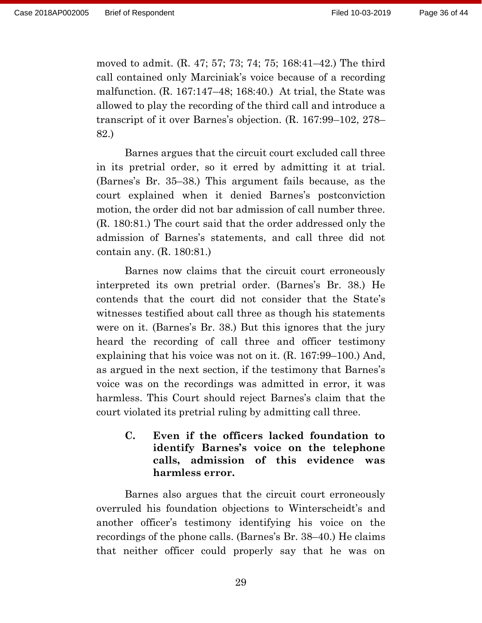moved to admit. (R. 47; 57; 73; 74; 75; 168:41–42.) The third call contained only Marciniak's voice because of a recording malfunction. (R. 167:147–48; 168:40.) At trial, the State was allowed to play the recording of the third call and introduce a transcript of it over Barnes's objection. (R. 167:99–102, 278– 82.)

Barnes argues that the circuit court excluded call three in its pretrial order, so it erred by admitting it at trial. (Barnes's Br. 35–38.) This argument fails because, as the court explained when it denied Barnes's postconviction motion, the order did not bar admission of call number three. (R. 180:81.) The court said that the order addressed only the admission of Barnes's statements, and call three did not contain any. (R. 180:81.)

Barnes now claims that the circuit court erroneously interpreted its own pretrial order. (Barnes's Br. 38.) He contends that the court did not consider that the State's witnesses testified about call three as though his statements were on it. (Barnes's Br. 38.) But this ignores that the jury heard the recording of call three and officer testimony explaining that his voice was not on it. (R. 167:99–100.) And, as argued in the next section, if the testimony that Barnes's voice was on the recordings was admitted in error, it was harmless. This Court should reject Barnes's claim that the court violated its pretrial ruling by admitting call three.

**C. Even if the officers lacked foundation to identify Barnes's voice on the telephone calls, admission of this evidence was harmless error.**

Barnes also argues that the circuit court erroneously overruled his foundation objections to Winterscheidt's and another officer's testimony identifying his voice on the recordings of the phone calls. (Barnes's Br. 38–40.) He claims that neither officer could properly say that he was on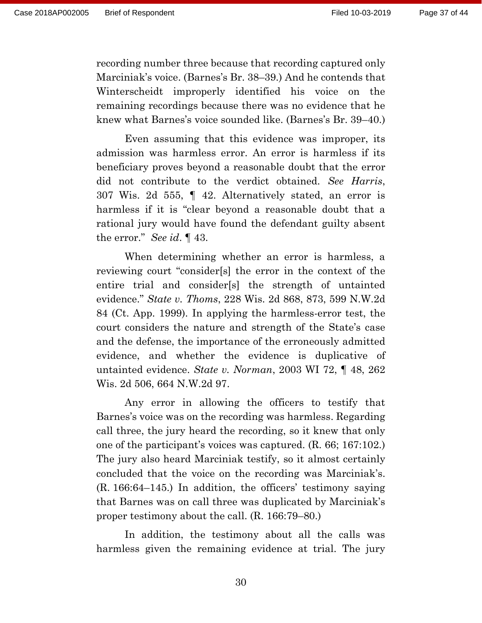recording number three because that recording captured only Marciniak's voice. (Barnes's Br. 38–39.) And he contends that Winterscheidt improperly identified his voice on the remaining recordings because there was no evidence that he knew what Barnes's voice sounded like. (Barnes's Br. 39–40.)

Even assuming that this evidence was improper, its admission was harmless error. An error is harmless if its beneficiary proves beyond a reasonable doubt that the error did not contribute to the verdict obtained. *See Harris*, 307 Wis. 2d 555, ¶ 42. Alternatively stated, an error is harmless if it is "clear beyond a reasonable doubt that a rational jury would have found the defendant guilty absent the error." *See id*. ¶ 43.

When determining whether an error is harmless, a reviewing court "consider[s] the error in the context of the entire trial and consider[s] the strength of untainted evidence." *State v. Thoms*, 228 Wis. 2d 868, 873, 599 N.W.2d 84 (Ct. App. 1999). In applying the harmless-error test, the court considers the nature and strength of the State's case and the defense, the importance of the erroneously admitted evidence, and whether the evidence is duplicative of untainted evidence. *State v. Norman*, 2003 WI 72, ¶ 48, 262 Wis. 2d 506, 664 N.W.2d 97.

Any error in allowing the officers to testify that Barnes's voice was on the recording was harmless. Regarding call three, the jury heard the recording, so it knew that only one of the participant's voices was captured. (R. 66; 167:102.) The jury also heard Marciniak testify, so it almost certainly concluded that the voice on the recording was Marciniak's. (R. 166:64–145.) In addition, the officers' testimony saying that Barnes was on call three was duplicated by Marciniak's proper testimony about the call. (R. 166:79–80.)

In addition, the testimony about all the calls was harmless given the remaining evidence at trial. The jury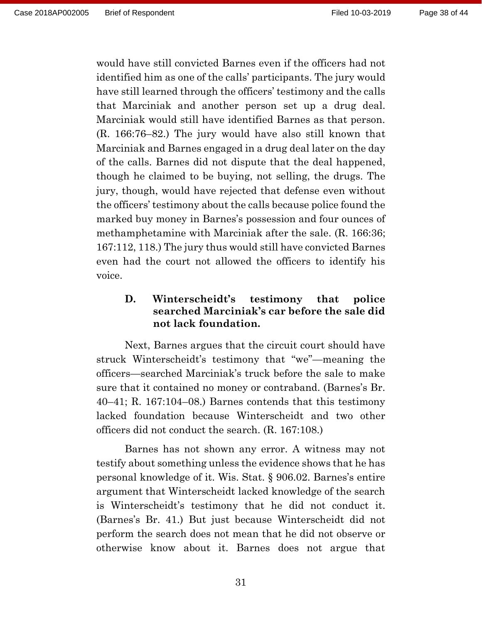would have still convicted Barnes even if the officers had not identified him as one of the calls' participants. The jury would have still learned through the officers' testimony and the calls that Marciniak and another person set up a drug deal. Marciniak would still have identified Barnes as that person. (R. 166:76–82.) The jury would have also still known that Marciniak and Barnes engaged in a drug deal later on the day of the calls. Barnes did not dispute that the deal happened, though he claimed to be buying, not selling, the drugs. The jury, though, would have rejected that defense even without the officers' testimony about the calls because police found the marked buy money in Barnes's possession and four ounces of methamphetamine with Marciniak after the sale. (R. 166:36; 167:112, 118.) The jury thus would still have convicted Barnes even had the court not allowed the officers to identify his voice.

# **D. Winterscheidt's testimony that police searched Marciniak's car before the sale did not lack foundation.**

Next, Barnes argues that the circuit court should have struck Winterscheidt's testimony that "we"—meaning the officers—searched Marciniak's truck before the sale to make sure that it contained no money or contraband. (Barnes's Br. 40–41; R. 167:104–08.) Barnes contends that this testimony lacked foundation because Winterscheidt and two other officers did not conduct the search. (R. 167:108.)

Barnes has not shown any error. A witness may not testify about something unless the evidence shows that he has personal knowledge of it. Wis. Stat. § 906.02. Barnes's entire argument that Winterscheidt lacked knowledge of the search is Winterscheidt's testimony that he did not conduct it. (Barnes's Br. 41.) But just because Winterscheidt did not perform the search does not mean that he did not observe or otherwise know about it. Barnes does not argue that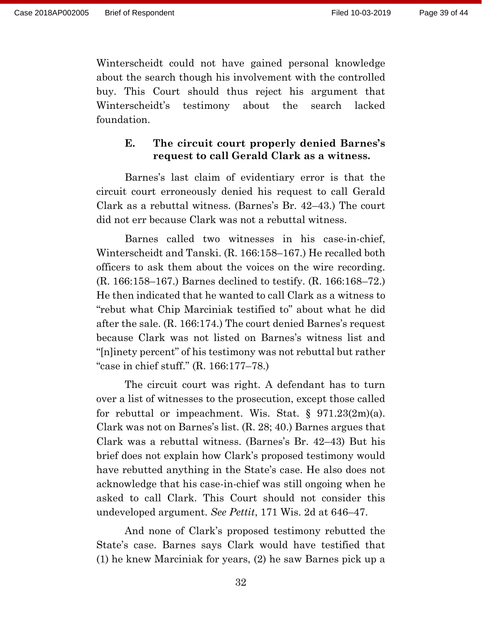Winterscheidt could not have gained personal knowledge about the search though his involvement with the controlled buy. This Court should thus reject his argument that Winterscheidt's testimony about the search lacked foundation.

### **E. The circuit court properly denied Barnes's request to call Gerald Clark as a witness.**

Barnes's last claim of evidentiary error is that the circuit court erroneously denied his request to call Gerald Clark as a rebuttal witness. (Barnes's Br. 42–43.) The court did not err because Clark was not a rebuttal witness.

Barnes called two witnesses in his case-in-chief, Winterscheidt and Tanski. (R. 166:158–167.) He recalled both officers to ask them about the voices on the wire recording. (R. 166:158–167.) Barnes declined to testify. (R. 166:168–72.) He then indicated that he wanted to call Clark as a witness to "rebut what Chip Marciniak testified to" about what he did after the sale. (R. 166:174.) The court denied Barnes's request because Clark was not listed on Barnes's witness list and "[n]inety percent" of his testimony was not rebuttal but rather "case in chief stuff." (R. 166:177–78.)

The circuit court was right. A defendant has to turn over a list of witnesses to the prosecution, except those called for rebuttal or impeachment. Wis. Stat.  $\S$  971.23(2m)(a). Clark was not on Barnes's list. (R. 28; 40.) Barnes argues that Clark was a rebuttal witness. (Barnes's Br. 42–43) But his brief does not explain how Clark's proposed testimony would have rebutted anything in the State's case. He also does not acknowledge that his case-in-chief was still ongoing when he asked to call Clark. This Court should not consider this undeveloped argument. *See Pettit*, 171 Wis. 2d at 646–47.

And none of Clark's proposed testimony rebutted the State's case. Barnes says Clark would have testified that (1) he knew Marciniak for years, (2) he saw Barnes pick up a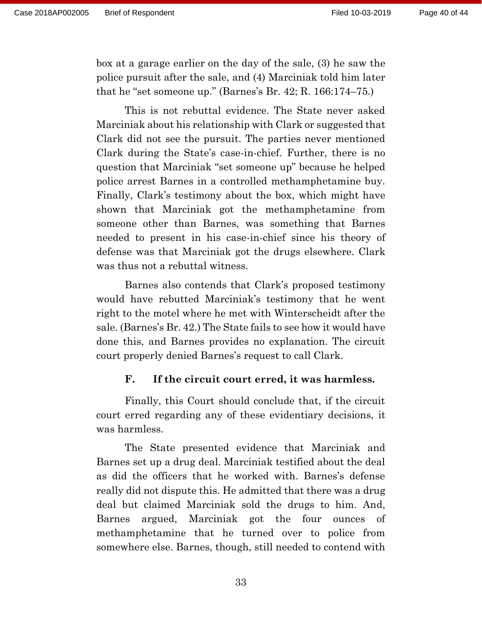box at a garage earlier on the day of the sale, (3) he saw the police pursuit after the sale, and (4) Marciniak told him later that he "set someone up." (Barnes's Br. 42; R. 166:174–75.)

This is not rebuttal evidence. The State never asked Marciniak about his relationship with Clark or suggested that Clark did not see the pursuit. The parties never mentioned Clark during the State's case-in-chief. Further, there is no question that Marciniak "set someone up" because he helped police arrest Barnes in a controlled methamphetamine buy. Finally, Clark's testimony about the box, which might have shown that Marciniak got the methamphetamine from someone other than Barnes, was something that Barnes needed to present in his case-in-chief since his theory of defense was that Marciniak got the drugs elsewhere. Clark was thus not a rebuttal witness.

Barnes also contends that Clark's proposed testimony would have rebutted Marciniak's testimony that he went right to the motel where he met with Winterscheidt after the sale. (Barnes's Br. 42.) The State fails to see how it would have done this, and Barnes provides no explanation. The circuit court properly denied Barnes's request to call Clark.

### **F. If the circuit court erred, it was harmless.**

Finally, this Court should conclude that, if the circuit court erred regarding any of these evidentiary decisions, it was harmless.

The State presented evidence that Marciniak and Barnes set up a drug deal. Marciniak testified about the deal as did the officers that he worked with. Barnes's defense really did not dispute this. He admitted that there was a drug deal but claimed Marciniak sold the drugs to him. And, Barnes argued, Marciniak got the four ounces of methamphetamine that he turned over to police from somewhere else. Barnes, though, still needed to contend with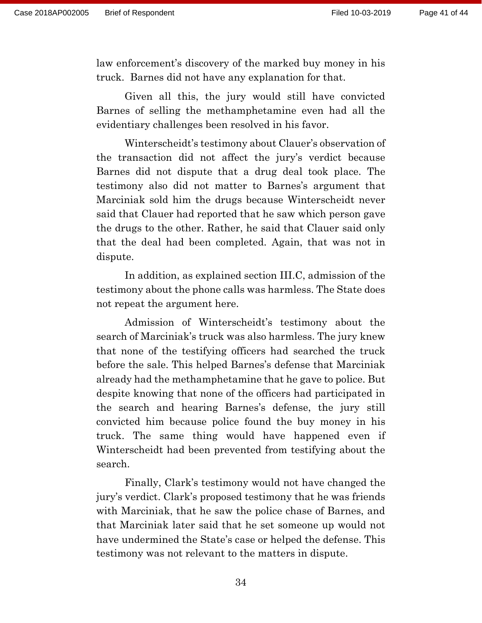law enforcement's discovery of the marked buy money in his truck. Barnes did not have any explanation for that.

Given all this, the jury would still have convicted Barnes of selling the methamphetamine even had all the evidentiary challenges been resolved in his favor.

Winterscheidt's testimony about Clauer's observation of the transaction did not affect the jury's verdict because Barnes did not dispute that a drug deal took place. The testimony also did not matter to Barnes's argument that Marciniak sold him the drugs because Winterscheidt never said that Clauer had reported that he saw which person gave the drugs to the other. Rather, he said that Clauer said only that the deal had been completed. Again, that was not in dispute.

In addition, as explained section III.C, admission of the testimony about the phone calls was harmless. The State does not repeat the argument here.

Admission of Winterscheidt's testimony about the search of Marciniak's truck was also harmless. The jury knew that none of the testifying officers had searched the truck before the sale. This helped Barnes's defense that Marciniak already had the methamphetamine that he gave to police. But despite knowing that none of the officers had participated in the search and hearing Barnes's defense, the jury still convicted him because police found the buy money in his truck. The same thing would have happened even if Winterscheidt had been prevented from testifying about the search.

Finally, Clark's testimony would not have changed the jury's verdict. Clark's proposed testimony that he was friends with Marciniak, that he saw the police chase of Barnes, and that Marciniak later said that he set someone up would not have undermined the State's case or helped the defense. This testimony was not relevant to the matters in dispute.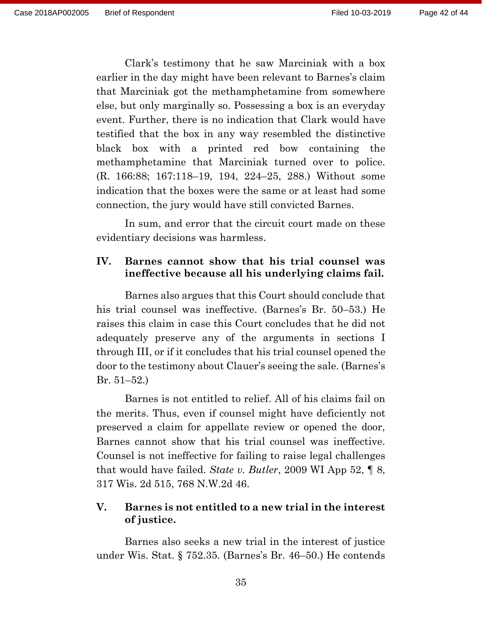Clark's testimony that he saw Marciniak with a box earlier in the day might have been relevant to Barnes's claim that Marciniak got the methamphetamine from somewhere else, but only marginally so. Possessing a box is an everyday event. Further, there is no indication that Clark would have testified that the box in any way resembled the distinctive black box with a printed red bow containing the methamphetamine that Marciniak turned over to police. (R. 166:88; 167:118–19, 194, 224–25, 288.) Without some indication that the boxes were the same or at least had some connection, the jury would have still convicted Barnes.

In sum, and error that the circuit court made on these evidentiary decisions was harmless.

## **IV. Barnes cannot show that his trial counsel was ineffective because all his underlying claims fail.**

Barnes also argues that this Court should conclude that his trial counsel was ineffective. (Barnes's Br. 50–53.) He raises this claim in case this Court concludes that he did not adequately preserve any of the arguments in sections I through III, or if it concludes that his trial counsel opened the door to the testimony about Clauer's seeing the sale. (Barnes's Br. 51–52.)

Barnes is not entitled to relief. All of his claims fail on the merits. Thus, even if counsel might have deficiently not preserved a claim for appellate review or opened the door, Barnes cannot show that his trial counsel was ineffective. Counsel is not ineffective for failing to raise legal challenges that would have failed. *State v. Butler*, 2009 WI App 52, ¶ 8, 317 Wis. 2d 515, 768 N.W.2d 46.

# **V. Barnes is not entitled to a new trial in the interest of justice.**

Barnes also seeks a new trial in the interest of justice under Wis. Stat. § 752.35. (Barnes's Br. 46–50.) He contends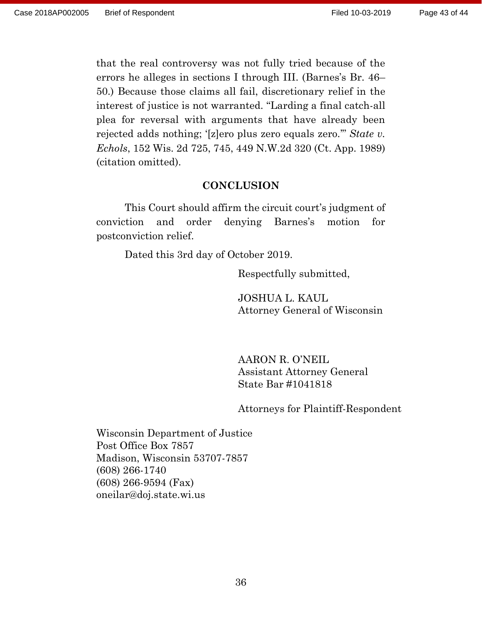that the real controversy was not fully tried because of the errors he alleges in sections I through III. (Barnes's Br. 46– 50.) Because those claims all fail, discretionary relief in the interest of justice is not warranted. "Larding a final catch-all plea for reversal with arguments that have already been rejected adds nothing; '[z]ero plus zero equals zero.'" *State v. Echols*, 152 Wis. 2d 725, 745, 449 N.W.2d 320 (Ct. App. 1989) (citation omitted).

### **CONCLUSION**

This Court should affirm the circuit court's judgment of conviction and order denying Barnes's motion for postconviction relief.

Dated this 3rd day of October 2019.

Respectfully submitted,

JOSHUA L. KAUL Attorney General of Wisconsin

AARON R. O'NEIL Assistant Attorney General State Bar #1041818

Attorneys for Plaintiff-Respondent

Wisconsin Department of Justice Post Office Box 7857 Madison, Wisconsin 53707-7857 (608) 266-1740 (608) 266-9594 (Fax) oneilar@doj.state.wi.us